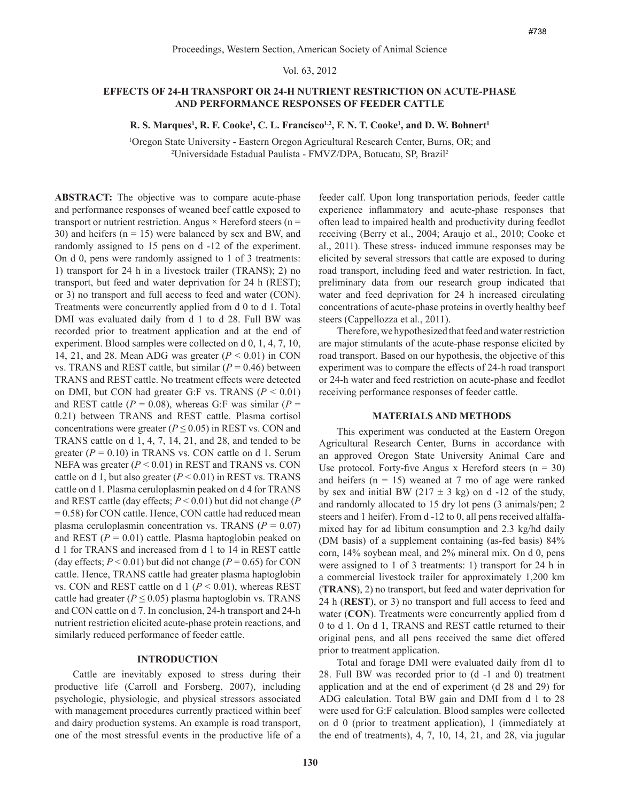# Vol. 63, 2012

# **EFFECTS OF 24-H TRANSPORT OR 24-H NUTRIENT RESTRICTION ON ACUTE-PHASE AND PERFORMANCE RESPONSES OF FEEDER CATTLE**

## **R. S. Marques<sup>1</sup>, R. F. Cooke<sup>1</sup>, C. L. Francisco<sup>1,2</sup>, F. N. T. Cooke<sup>1</sup>, and D. W. Bohnert<sup>1</sup>**

1 Oregon State University - Eastern Oregon Agricultural Research Center, Burns, OR; and 2 Universidade Estadual Paulista - FMVZ/DPA, Botucatu, SP, Brazil2

**ABSTRACT:** The objective was to compare acute-phase and performance responses of weaned beef cattle exposed to transport or nutrient restriction. Angus  $\times$  Hereford steers (n = 30) and heifers  $(n = 15)$  were balanced by sex and BW, and randomly assigned to 15 pens on d -12 of the experiment. On d 0, pens were randomly assigned to 1 of 3 treatments: 1) transport for 24 h in a livestock trailer (TRANS); 2) no transport, but feed and water deprivation for 24 h (REST); or 3) no transport and full access to feed and water (CON). Treatments were concurrently applied from d 0 to d 1. Total DMI was evaluated daily from d 1 to d 28. Full BW was recorded prior to treatment application and at the end of experiment. Blood samples were collected on d 0, 1, 4, 7, 10, 14, 21, and 28. Mean ADG was greater  $(P < 0.01)$  in CON vs. TRANS and REST cattle, but similar  $(P = 0.46)$  between TRANS and REST cattle. No treatment effects were detected on DMI, but CON had greater G:F vs. TRANS  $(P < 0.01)$ and REST cattle  $(P = 0.08)$ , whereas G:F was similar  $(P = 0.08)$ 0.21) between TRANS and REST cattle. Plasma cortisol concentrations were greater ( $P \le 0.05$ ) in REST vs. CON and TRANS cattle on d 1, 4, 7, 14, 21, and 28, and tended to be greater  $(P = 0.10)$  in TRANS vs. CON cattle on d 1. Serum NEFA was greater (*P* < 0.01) in REST and TRANS vs. CON cattle on d 1, but also greater  $(P < 0.01)$  in REST vs. TRANS cattle on d 1. Plasma ceruloplasmin peaked on d 4 for TRANS and REST cattle (day effects; *P* < 0.01) but did not change (*P* = 0.58) for CON cattle. Hence, CON cattle had reduced mean plasma ceruloplasmin concentration vs. TRANS  $(P = 0.07)$ and REST  $(P = 0.01)$  cattle. Plasma haptoglobin peaked on d 1 for TRANS and increased from d 1 to 14 in REST cattle (day effects;  $P < 0.01$ ) but did not change ( $P = 0.65$ ) for CON cattle. Hence, TRANS cattle had greater plasma haptoglobin vs. CON and REST cattle on d 1 ( $P < 0.01$ ), whereas REST cattle had greater ( $P \le 0.05$ ) plasma haptoglobin vs. TRANS and CON cattle on d 7. In conclusion, 24-h transport and 24-h nutrient restriction elicited acute-phase protein reactions, and similarly reduced performance of feeder cattle.

## **Introduction**

Cattle are inevitably exposed to stress during their productive life (Carroll and Forsberg, 2007), including psychologic, physiologic, and physical stressors associated with management procedures currently practiced within beef and dairy production systems. An example is road transport, one of the most stressful events in the productive life of a feeder calf. Upon long transportation periods, feeder cattle experience inflammatory and acute-phase responses that often lead to impaired health and productivity during feedlot receiving (Berry et al., 2004; Araujo et al., 2010; Cooke et al., 2011). These stress- induced immune responses may be elicited by several stressors that cattle are exposed to during road transport, including feed and water restriction. In fact, preliminary data from our research group indicated that water and feed deprivation for 24 h increased circulating concentrations of acute-phase proteins in overtly healthy beef steers (Cappellozza et al., 2011).

Therefore, we hypothesized that feed and water restriction are major stimulants of the acute-phase response elicited by road transport. Based on our hypothesis, the objective of this experiment was to compare the effects of 24-h road transport or 24-h water and feed restriction on acute-phase and feedlot receiving performance responses of feeder cattle.

#### **Materials and Methods**

This experiment was conducted at the Eastern Oregon Agricultural Research Center, Burns in accordance with an approved Oregon State University Animal Care and Use protocol. Forty-five Angus x Hereford steers  $(n = 30)$ and heifers  $(n = 15)$  weaned at 7 mo of age were ranked by sex and initial BW (217  $\pm$  3 kg) on d -12 of the study, and randomly allocated to 15 dry lot pens (3 animals/pen; 2 steers and 1 heifer). From d -12 to 0, all pens received alfalfamixed hay for ad libitum consumption and 2.3 kg/hd daily (DM basis) of a supplement containing (as-fed basis) 84% corn, 14% soybean meal, and 2% mineral mix. On d 0, pens were assigned to 1 of 3 treatments: 1) transport for 24 h in a commercial livestock trailer for approximately 1,200 km (**TRANS**), 2) no transport, but feed and water deprivation for 24 h (**REST**), or 3) no transport and full access to feed and water (**CON**). Treatments were concurrently applied from d 0 to d 1. On d 1, TRANS and REST cattle returned to their original pens, and all pens received the same diet offered prior to treatment application.

Total and forage DMI were evaluated daily from d1 to 28. Full BW was recorded prior to (d -1 and 0) treatment application and at the end of experiment (d 28 and 29) for ADG calculation. Total BW gain and DMI from d 1 to 28 were used for G:F calculation. Blood samples were collected on d 0 (prior to treatment application), 1 (immediately at the end of treatments), 4, 7, 10, 14, 21, and 28, via jugular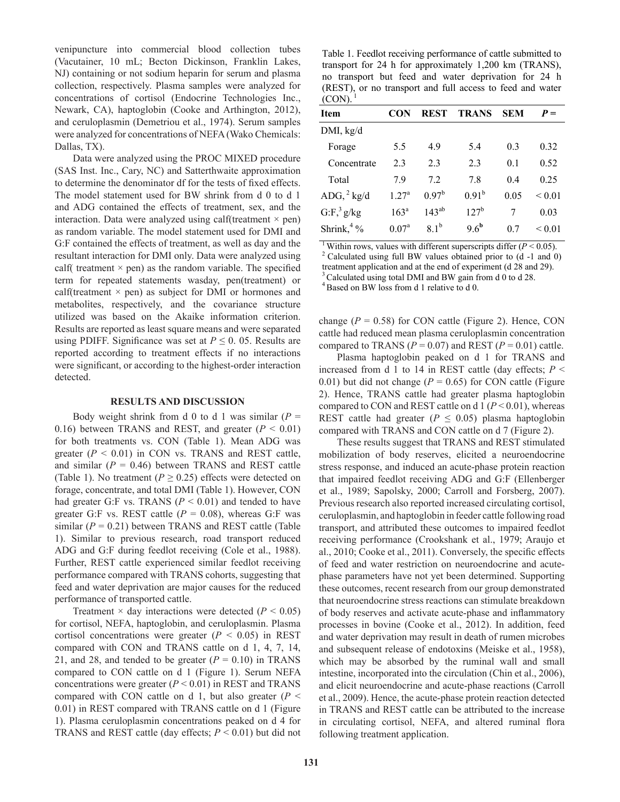venipuncture into commercial blood collection tubes (Vacutainer, 10 mL; Becton Dickinson, Franklin Lakes, NJ) containing or not sodium heparin for serum and plasma collection, respectively. Plasma samples were analyzed for concentrations of cortisol (Endocrine Technologies Inc., Newark, CA), haptoglobin (Cooke and Arthington, 2012), and ceruloplasmin (Demetriou et al., 1974). Serum samples were analyzed for concentrations of NEFA (Wako Chemicals: Dallas, TX).

Data were analyzed using the PROC MIXED procedure (SAS Inst. Inc., Cary, NC) and Satterthwaite approximation to determine the denominator df for the tests of fixed effects. The model statement used for BW shrink from d 0 to d 1 and ADG contained the effects of treatment, sex, and the interaction. Data were analyzed using calf(treatment  $\times$  pen) as random variable. The model statement used for DMI and G:F contained the effects of treatment, as well as day and the resultant interaction for DMI only. Data were analyzed using calf( treatment  $\times$  pen) as the random variable. The specified term for repeated statements wasday, pen(treatment) or calf(treatment  $\times$  pen) as subject for DMI or hormones and metabolites, respectively, and the covariance structure utilized was based on the Akaike information criterion. Results are reported as least square means and were separated using PDIFF. Significance was set at  $P \le 0$ . 05. Results are reported according to treatment effects if no interactions were significant, or according to the highest-order interaction detected.

## **Results and Discussion**

Body weight shrink from d 0 to d 1 was similar  $(P =$ 0.16) between TRANS and REST, and greater  $(P < 0.01)$ for both treatments vs. CON (Table 1). Mean ADG was greater  $(P < 0.01)$  in CON vs. TRANS and REST cattle, and similar  $(P = 0.46)$  between TRANS and REST cattle (Table 1). No treatment ( $P \ge 0.25$ ) effects were detected on forage, concentrate, and total DMI (Table 1). However, CON had greater G:F vs. TRANS ( $P \le 0.01$ ) and tended to have greater G:F vs. REST cattle  $(P = 0.08)$ , whereas G:F was similar  $(P = 0.21)$  between TRANS and REST cattle (Table 1). Similar to previous research, road transport reduced ADG and G:F during feedlot receiving (Cole et al., 1988). Further, REST cattle experienced similar feedlot receiving performance compared with TRANS cohorts, suggesting that feed and water deprivation are major causes for the reduced performance of transported cattle.

Treatment  $\times$  day interactions were detected ( $P \le 0.05$ ) for cortisol, NEFA, haptoglobin, and ceruloplasmin. Plasma cortisol concentrations were greater  $(P < 0.05)$  in REST compared with CON and TRANS cattle on d 1, 4, 7, 14, 21, and 28, and tended to be greater  $(P = 0.10)$  in TRANS compared to CON cattle on d 1 (Figure 1). Serum NEFA concentrations were greater  $(P < 0.01)$  in REST and TRANS compared with CON cattle on d 1, but also greater  $(P \leq$ 0.01) in REST compared with TRANS cattle on d 1 (Figure 1). Plasma ceruloplasmin concentrations peaked on d 4 for TRANS and REST cattle (day effects; *P* < 0.01) but did not

Table 1. Feedlot receiving performance of cattle submitted to transport for 24 h for approximately 1,200 km (TRANS), no transport but feed and water deprivation for 24 h (REST), or no transport and full access to feed and water  $(CON)$ .

| Item                    | CON               | <b>REST</b>      | <b>TRANS</b>     | <b>SEM</b> | $P =$       |
|-------------------------|-------------------|------------------|------------------|------------|-------------|
| DMI, kg/d               |                   |                  |                  |            |             |
| Forage                  | 5.5               | 4.9              | 5.4              | 0.3        | 0.32        |
| Concentrate             | 2.3               | 2.3              | 2.3              | 0.1        | 0.52        |
| Total                   | 79                | 72               | 7.8              | 0.4        | 0.25        |
| $ADG, \frac{2}{3}$ kg/d | 1.27 <sup>a</sup> | $0.97^b$         | $0.91^{b}$       | 0.05       | ${}_{0.01}$ |
| $G: F, \frac{3}{7}g/kg$ | 163 <sup>a</sup>  | $143^{ab}$       | $127^b$          | 7          | 0.03        |
| Shrink, $4\%$           | 0.07 <sup>a</sup> | 8.1 <sup>b</sup> | 9.6 <sup>b</sup> | 0.7        | ${}_{0.01}$ |
|                         |                   |                  |                  |            |             |

<sup>1</sup> Within rows, values with different superscripts differ ( $P < 0.05$ ).<br><sup>2</sup> Calculated using full BW values obtained prior to (d -1 and 0)

treatment application and at the end of experiment (d 28 and 29).<br><sup>3</sup> Calculated using total DMI and BW gain from d 0 to d 28.<br><sup>4</sup> Based on BW loss from d 1 relative to d 0.

change  $(P = 0.58)$  for CON cattle (Figure 2). Hence, CON cattle had reduced mean plasma ceruloplasmin concentration compared to TRANS ( $P = 0.07$ ) and REST ( $P = 0.01$ ) cattle.

Plasma haptoglobin peaked on d 1 for TRANS and increased from d 1 to 14 in REST cattle (day effects;  $P \leq$ 0.01) but did not change  $(P = 0.65)$  for CON cattle (Figure 2). Hence, TRANS cattle had greater plasma haptoglobin compared to CON and REST cattle on d 1 (*P* < 0.01), whereas REST cattle had greater ( $P \leq 0.05$ ) plasma haptoglobin compared with TRANS and CON cattle on d 7 (Figure 2).

These results suggest that TRANS and REST stimulated mobilization of body reserves, elicited a neuroendocrine stress response, and induced an acute-phase protein reaction that impaired feedlot receiving ADG and G:F (Ellenberger et al., 1989; Sapolsky, 2000; Carroll and Forsberg, 2007). Previous research also reported increased circulating cortisol, ceruloplasmin, and haptoglobin in feeder cattle following road transport, and attributed these outcomes to impaired feedlot receiving performance (Crookshank et al., 1979; Araujo et al., 2010; Cooke et al., 2011). Conversely, the specific effects of feed and water restriction on neuroendocrine and acutephase parameters have not yet been determined. Supporting these outcomes, recent research from our group demonstrated that neuroendocrine stress reactions can stimulate breakdown of body reserves and activate acute-phase and inflammatory processes in bovine (Cooke et al., 2012). In addition, feed and water deprivation may result in death of rumen microbes and subsequent release of endotoxins (Meiske et al., 1958), which may be absorbed by the ruminal wall and small intestine, incorporated into the circulation (Chin et al., 2006), and elicit neuroendocrine and acute-phase reactions (Carroll et al., 2009). Hence, the acute-phase protein reaction detected in TRANS and REST cattle can be attributed to the increase in circulating cortisol, NEFA, and altered ruminal flora following treatment application.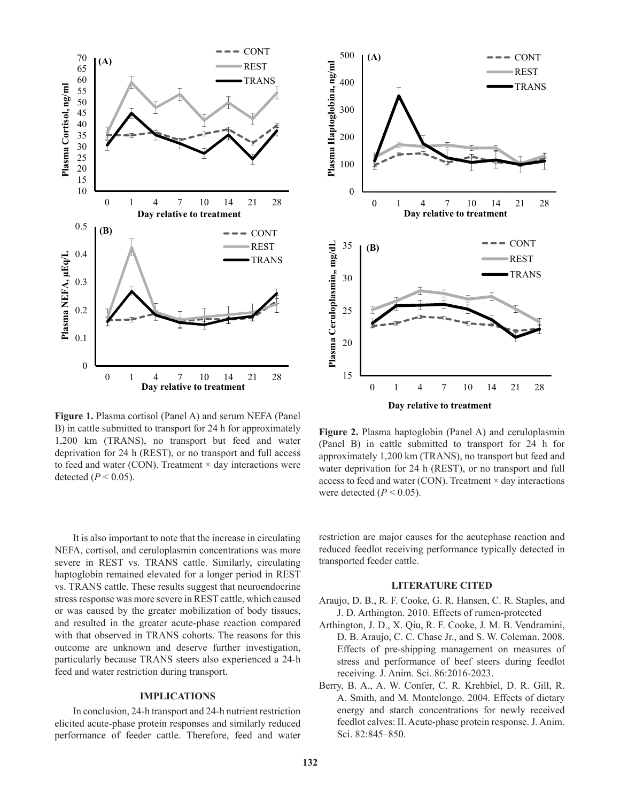

Figure 1. Plasma cortisol (Panel A) and serum NEFA (Panel  $B$ ) in cattle submitted to transport for 24 h for approximately and  $\frac{1}{200}$  and  $\frac{1}{200}$  and  $\frac{1}{200}$  and  $\frac{1}{200}$  and  $\frac{1}{200}$  and  $\frac{1}{200}$  and  $\frac{1}{200}$ 1,200 km (TRANS), no transport but feed and water deprivation for 24 h (REST), or no transport and full access detected  $(P < 0.05)$ . to feed and water (CON). Treatment  $\times$  day interactions were

It is also important to note that the increase in circulating NEFA, cortisol, and ceruloplasmin concentrations was more severe in REST vs. TRANS cattle. Similarly, circulating severe haptoglobin remained elevated for a longer period in REST vs. TRANS cattle. These results suggest that neuroendocrine stress response was more severe in REST cattle, which caused or was caused by the greater mobilization of body tissues, and resulted in the greater acute-phase reaction compared with that observed in TRANS cohorts. The reasons for this outcome are unknown and deserve further investigation, particularly because TRANS steers also experienced a 24-h feed and water restriction during transport.

# **Implications**

In conclusion, 24-h transport and 24-h nutrient restriction elicited acute-phase protein responses and similarly reduced performance of feeder cattle. Therefore, feed and water



Figure 2. Plasma haptoglobin (Panel A) and ceruloplasmin (Panel B) in cattle submitted to transport for  $24$  h for approximately 1,200 km (TRANS), no transport but feed and water deprivation for 24 h (REST), or no transport and full access to feed and water (CON). Treatment × day interactions  $T = 0.00$ . were detected  $(P < 0.05)$ .

restriction are major causes for the acutephase reaction and educed feedlot receiving performance typically detected reduced feedlot receiving performance typically detected in<br>transmetted feeder settle transported feeder cattle.

## **Literature Cited**

- Araujo, D. B., R. F. Cooke, G. R. Hansen, C. R. Staples, and J. D. Arthington. 2010. Effects of rumen-protected
- Arthington, J. D., X. Qiu, R. F. Cooke, J. M. B. Vendramini, D. B. Araujo, C. C. Chase Jr., and S. W. Coleman. 2008. Effects of pre-shipping management on measures of stress and performance of beef steers during feedlot receiving. J. Anim. Sci. 86:2016-2023.
- Berry, B. A., A. W. Confer, C. R. Krehbiel, D. R. Gill, R. A. Smith, and M. Montelongo. 2004. Effects of dietary energy and starch concentrations for newly received feedlot calves: II. Acute-phase protein response. J. Anim. Sci. 82:845–850.